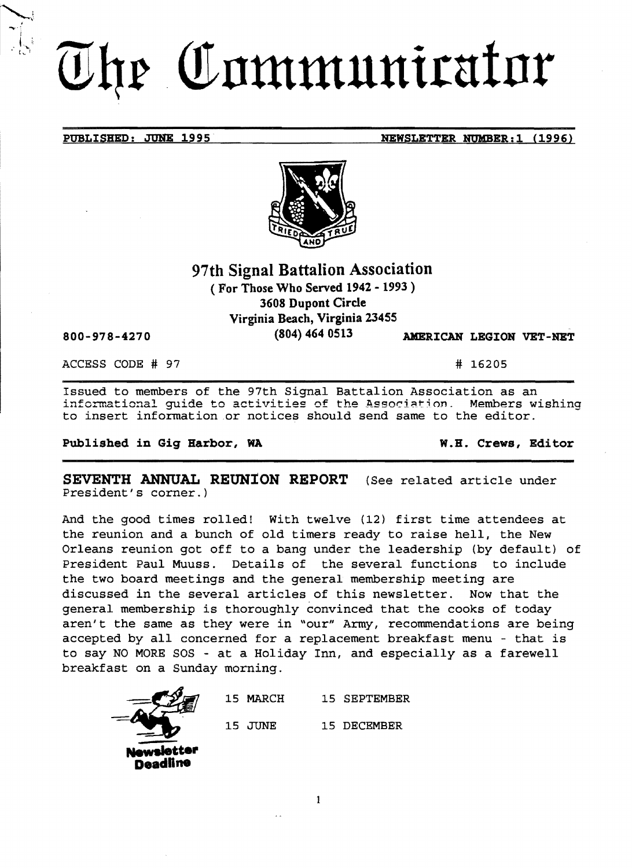# The Communicator

#### **PUBLISBED: JUNE 1995 NEWSLETTER NUMBER:1 (1996)**



# **97th Signal Battalion Association**  ( **For Those Who Served 1942. 1993** )

**3608 Dupont Circle Virginia Beach, Virginia 2.3455** 

**(804) 464 0513 AXERICAN LEGION VET-NET** 

ACCESS CODE # 97 # 16205

**800-978-4270** 

Issued to members of the 97th Signal Battalion Association as an informational guide to activities of the Association. Members wishing to insert information.or notices should send same to the editor.

**Published in Gig Barbor, WA W.B. Crews, Editor** 

**SEVENTH ANNUAL REUNION REPORT** (See related article under President's corner.)

And the good times rolled! With twelve (12) first time attendees at the reunion and a bunch of old timers ready to raise hell, the New Orleans reunion got off to a bang under the leadership (by default) of President Paul Muuss. Details of the several functions to include the two board meetings and the general membership meeting are discussed in the several articles of this newsletter. Now that the general membership is thoroughly convinced that the cooks of today aren't the same as they were in "our" Army, recommendations are being accepted by all concerned for a replacement breakfast menu - that is to say NO MORE SOS - at a Holiday Inn, and especially as a farewell breakfast on a Sunday morning.



15 MARCH 15 SEPTEMBER 15 JUNE 15 DECEMBER

1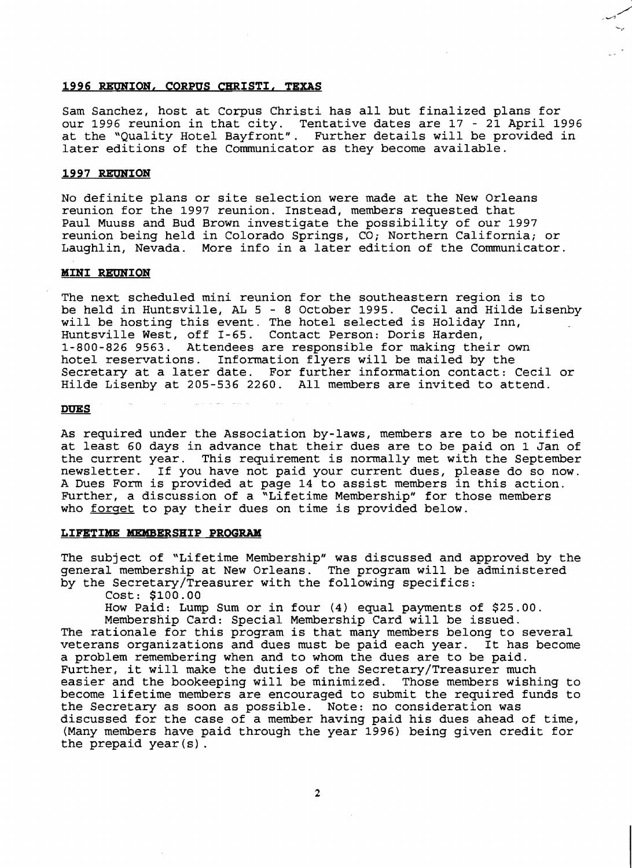#### **1996 REUNION, CORPUS CHRISTI, TEXAS**

Sam Sanchez, host at Corpus Christi has all but finalized plans for our 1996 reunion in that city. Tentative dates are 17 - 21 April 1996 at the "Quality Hotel Bayfront". Further details will be provided in later editions of the Communicator as they become available.

#### **1997 RE'ONION**

No definite plans or site selection were made at the New Orleans reunion for the 1997 reunion. Instead, members requested that Paul Muuss and Bud Brown investigate the possibility of our 1997 reunion being held in Colorado Springs, *CO;* Northern California; or Laughlin, Nevada. More info in a later edition of the Communicator.

#### **MINI REUNION**

The next scheduled mini reunion for the southeastern region is to be held in Huntsville, AL 5 - 8 October 1995. Cecil and Hilde Lisenby will be hosting this event. The hotel selected is Holiday Inn, Huntsville West, off I-65. Contact Person: Doris Harden, 1-800-826 9563. Attendees are responsible for making their own hotel reservations. Information flyers will be mailed by the Secretary at a later date. For further information contact: Cecil or Hilde Lisenby at 205-536 2260. All members are invited to attend.

#### **DUES**

As required under the Association by-laws, members are to be notified at least 60 days in advance that their dues are to be paid on 1 Jan of the current year. This requirement is normally met with the September newsletter. If you have not paid your current dues, please do so now. A Dues Form is provided at page 14 to assist members in this action. Further, a discussion of a "Lifetime Membership" for those members who forget to pay their dues on time is provided below.

#### **LIFETIME MEMBERSHIP PROGRAM**

The subject of "Lifetime Membership" was discussed and approved by the general membership at New Orleans. The program will be administered by the Secretary/Treasurer with the following specifics:

Cost: \$100.00

How Paid: Lump Sum or in four (4) equal payments of \$25.00.

Membership Card: Special Membership Card will be issued.

The rationale for this program is that many members belong to several veterans organizations and dues must be paid each year. It has become a problem remembering when and to whom the dues are to be paid. Further, it will make the duties of the Secretary/Treasurer much easier and the bookeeping will be minimized. Those members wishing to become lifetime members are encouraged to submit the required funds to the Secretary as soon as possible. Note: no consideration was discussed for the case of a member having paid his dues ahead of time, (Many members have paid through the year 1996) being given credit for the prepaid year $(s)$ .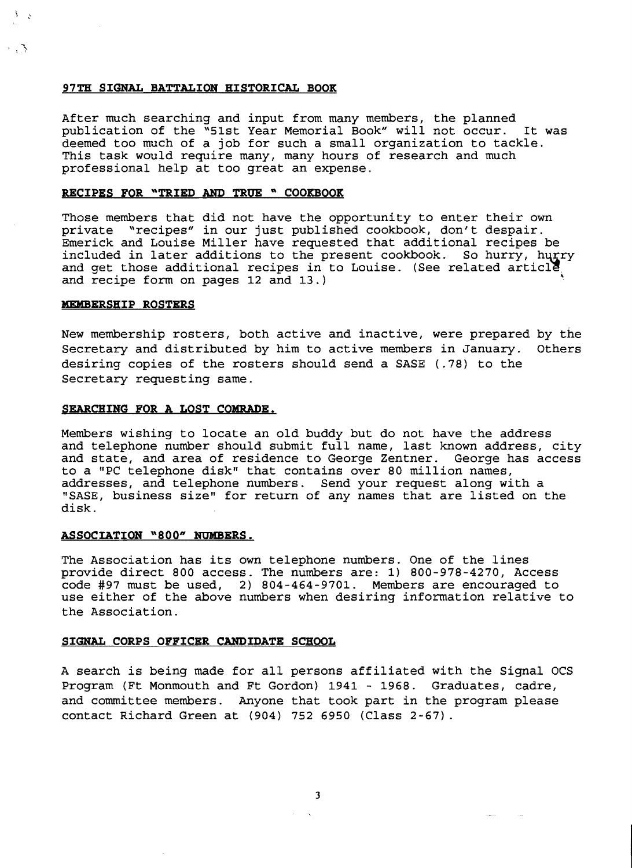#### **97TH SIGNAL BATTALION HISTORICAL BOOK**

After much searching and input from many members, the planned publication of the "51st Year Memorial *Book"* will not occur. It was deemed too much of a job for such a small organization to tackle. This task would require many, many hours of research and much professional help at too great an expense.

#### **RECIPES FOR** ~TRIED **AND TRUE** ~ **COOKBOOK**

Those members that did not have the opportunity to enter their own private "recipes" in our just published cookbook, don't despair. Emerick and Louise Miller have requested that additional recipes be included in later additions to the present cookbook. So hurry, hurry and get those additional recipes in to Louise. (See related article.) and recipe form on pages 12 and 13.) ,

#### **MEMBERSHIP ROSTERS**

 $\cdot$  ,  $\Lambda$ 

New membership rosters, both active and inactive, were prepared by the Secretary and distributed by him to active members in January. Others desiring copies of the rosters should send a SASE (.78) to the Secretary requesting same.

#### **SEARCHING FOR A LOST COMRADE.**

Members wishing to locate an old buddy but do not have the address and telephone number should submit full name, last known address, city<br>and state, and area of residence to George Zentner. George has access and state, and area of residence to George Zentner. to a "PC telephone disk" that contains over 80 million names, addresses, and telephone numbers. Send your request along with a "SASE, business size" for return of any names that are listed on the disk.

#### **ASSOCIATION "800" NUMBERS.**

The Association has its own telephone numbers. One of the lines provide direct 800 access. The numbers are: 1) 800-978-4270, Access code #97 must be used, 2) 804-464-9701. Members are encouraged to use either of the above numbers when desiring information relative to the Association.

#### **SIGNAL CORPS OFFICER CANDIDATE SCHOOL**

A search is being made for all persons affiliated with the Signal OCS Program (Ft Monmouth and Ft Gordon) 1941 - 1968. Graduates, cadre, and committee members. Anyone that took part in the program please contact Richard Green at (904) 752 6950 (Class 2-67).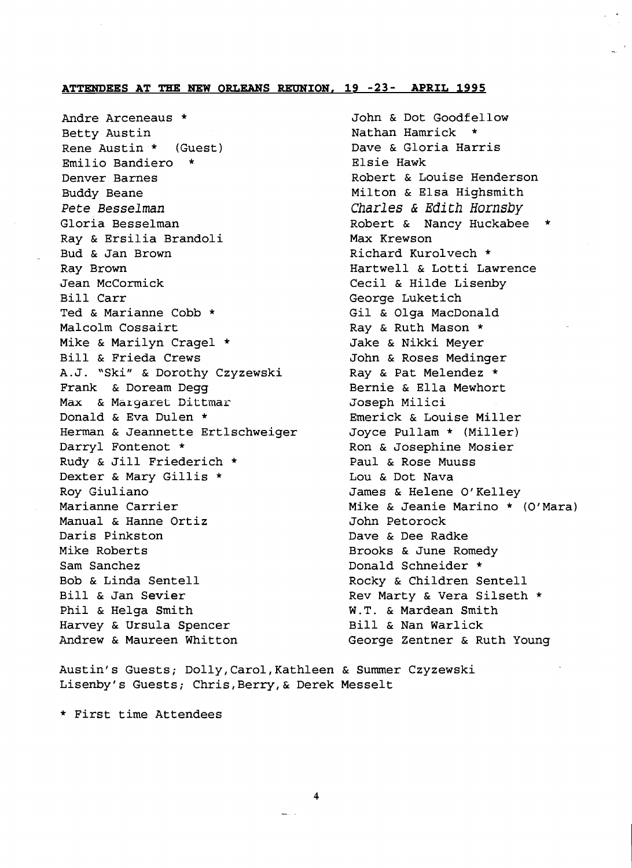# **ATTENDEES AT THE NEW ORLEANS REUNION. 19 -23- APRIL 1995**

Andre Arceneaus \* Betty Austin Rene Austin \* (Guest) Emilio Bandiero Denver Barnes Buddy Beane *Pete Besselman*  Gloria Besselman Ray & Ersilia Brandoli Bud & Jan Brown Ray Brown Jean McCormick Bill Carr Ted & Marianne Cobb \* Malcolm Cossairt Mike & Marilyn Cragel \* Bill & Frieda Crews A.J. "Ski" & Dorothy Czyzewski Frank & Doream Degg Max & Margaret Dittmar Donald & Eva Dulen \* Herman & Jeannette Ertlschweiger Darryl Fontenot \* Rudy & Jill Friederich \* Dexter & Mary Gillis \* Roy Giuliano Marianne Carrier Manual & Hanne Ortiz Daris Pinkston Mike Roberts Sam Sanchez Bob & Linda Sentell Bill & Jan Sevier Phil & Helga Smith Harvey & Ursula Spencer Andrew & Maureen Whitton

John & Dot Goodfellow Nathan Hamrick Dave & Gloria Harris Elsie Hawk Robert & Louise Henderson Milton & Elsa Highsmith *Charles* &*Edith Hornsby*  Robert & Nancy Huckabee \* Max Krewson Richard Kurolvech \* Hartwell & Lotti Lawrence Cecil & Hilde Lisenby George Luketich Gil & Olga MacDonald Ray & Ruth Mason \* Jake & Nikki Meyer John & Roses Medinger Ray & Pat Melendez \* Bernie & Ella Mewhort Joseph Milici Emerick & Louise Miller Joyce Pullam \* (Miller) Ron & Josephine Mosier Paul & Rose Muuss Lou & Dot Nava James & Helene O'Kelley Mike & Jeanie Marino \* (O'Mara) John Petorock Dave & Dee Radke Brooks & June Romedy Donald Schneider \* Rocky & Children Sentell Rev Marty & Vera Silseth \* W.T. & Mardean Smith Bill & Nan Warlick George Zentner & Ruth Young

Austin's Guests; Dolly, Carol, Kathleen & Summer Czyzewski Lisenby's Guests; Chris, Berry, & Derek Messelt

\* First time Attendees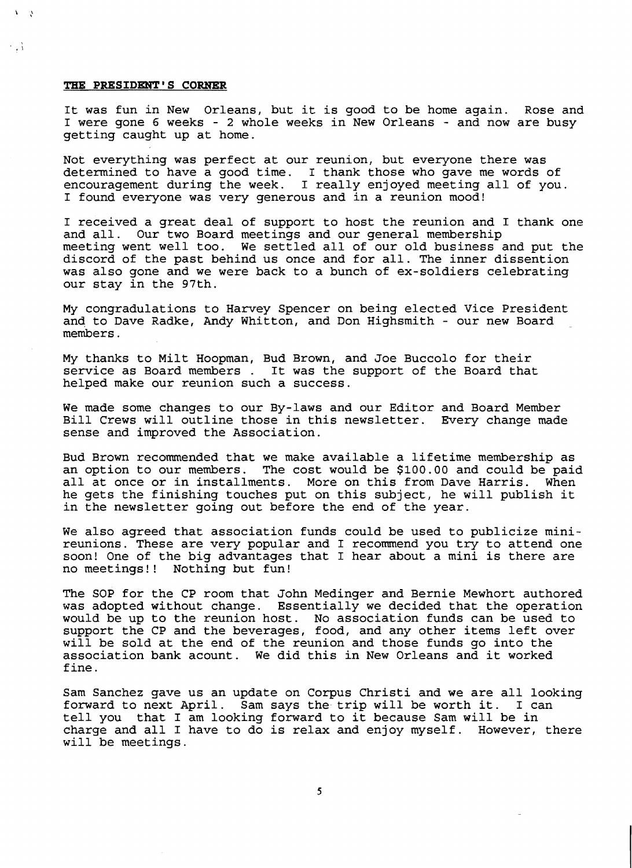#### **THE PRESIDENT'S CORNER**

 $\cdot$  .  $\cdot$ 

 $\mathbf{A}$ - 78

> It was fun in New Orleans, but it is good to be home again. Rose and I were gone 6 weeks - 2 whole weeks in New Orleans - and now are busy getting caught up at home.

Not everything was perfect at our reunion, but everyone there was determined to have a good time. I thank those who gave me words of encouragement during the week. I really enjoyed meeting all of you. I found everyone was very generous and in a reunion mood!

I received a great deal of support to host the reunion and I thank one and all. Our two Board meetings and our general membership meeting went well too. We settled all of our old business and put the discord of the past behind us once and for all. The inner dissention was also gone and we were back to a bunch of ex-soldiers celebrating our stay in the 97th.

My congradulations to Harvey Spencer on being elected Vice President and to Dave Radke, Andy Whitton, and Don Highsmith - our new Board members.

My thanks to Milt Hoopman, Bud Brown, and Joe Buccolo for their service as Board members. It was the support of the Board that helped make our reunion such a success.

We made some changes to our By-laws and our Editor and Board Member Bill Crews will outline those in this newsletter. Every change made sense and improved the Association.

Bud Brown recommended that we make available a lifetime membership as an option to our members. The cost would be \$100.00 and could be paid all at once or in installments. More on this from Dave Harris. When he gets the finishing touches put on this subject, he will publish it in the newsletter going out before the end of the year.

We also agreed that association funds could be used to publicize minireunions. These are very popular and I recommend you try to attend one soon! One of the big advantages that I hear about a mini is there are no meetings!! Nothing but fun!

The SOP for the CP room that John Medinger and Bernie Mewhort authored was adopted without change. Essentially we decided that the operation would be up to the reunion host. No association funds can be used to support the CP and the beverages, food, and any other items left over will be sold at the end of the reunion and those funds go into the association bank acount. We did this in New Orleans and it worked fine.

Sam Sanchez gave us an update on Corpus Christi and we are all looking forward to next April. Sam says the trip will be worth it. I can tell you that I am looking forward to it because Sam will be in charge and all I have to do is relax and enjoy myself. However, there will be meetings.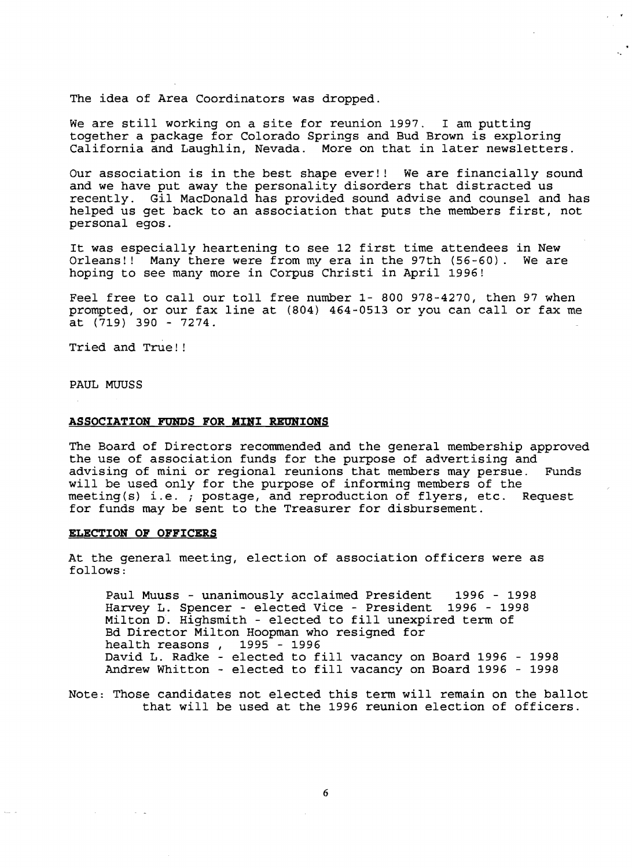The idea of Area Coordinators was dropped.

We are still working on a site for reunion 1997. I am putting together a package for Colorado Springs and Bud Brown is exploring California and Laughlin, Nevada. More on that in later newsletters.

Our association is in the best shape ever!! We are financially sound and we have put away the personality disorders that distracted us recently. Gil MacDonald has provided sound advise and counsel and has helped us get back to an association that puts the members first, not personal egos.

It was especially heartening to see 12 first time attendees in New Orleans!! Many there were from my era in the 97th (56-60). We are hoping to see many more in Corpus Christi in April 1996!

Feel free to call our toll free number 1- 800 978-4270, then 97 when prompted, or our fax line at (804) 464-0513 or you can call or fax me at  $(719)$  390 - 7274.

Tried and True! !

PAUL MUUSS

#### **ASSOCIATION FUNDS FOR MINI REUNIONS**

The Board of Directors recommended and the general membership approved the use of association funds for the purpose of advertising and advising of mini or regional reunions that members may persue. Funds will be used only for the purpose of informing members of the meeting(s) i.e. *i* postage, and reproduction of flyers, etc. Request for funds may be sent to the Treasurer for disbursement.

#### **ELECTION OF OFFICERS**

At the general meeting, election of association officers were as follows:

Paul Muuss - unanimously acclaimed President 1996 - 1998 Harvey L. Spencer - elected Vice - President 1996 - 1998 Milton D. Highsmith - elected to fill unexpired term of Bd Director Milton Hoopman who resigned for<br>health reasons, 1995 - 1996 health reasons, David L. Radke - elected to fill vacancy on Board 1996 - <sup>1998</sup> Andrew Whitton - elected to fill vacancy on Board 1996 - <sup>1998</sup>

Note: Those candidates not elected this term will remain on the ballot that will be used at the 1996 reunion election of officers.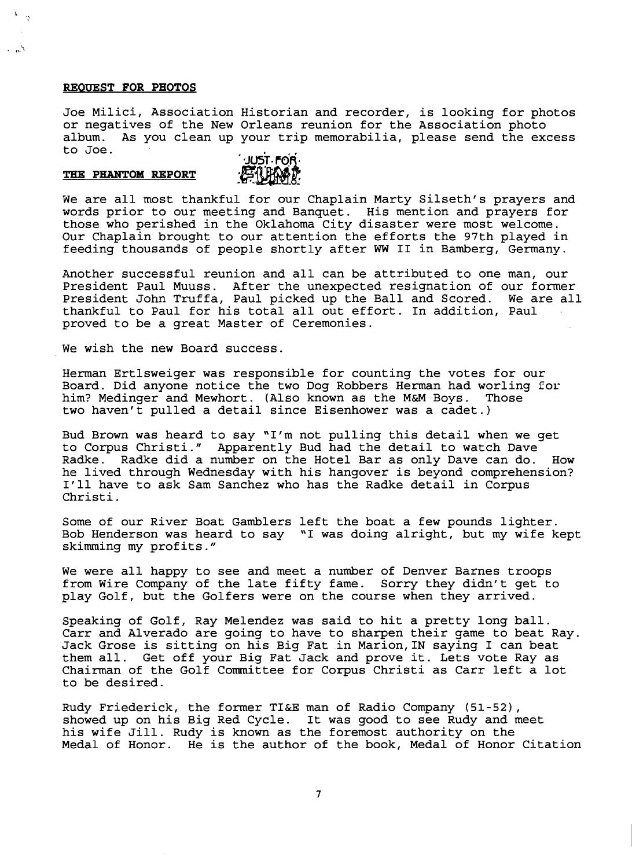#### **REQUEST FOR PHOTOS**

-, ,

بي .

Joe Milici, Association Historian and recorder, is looking for photos or negatives of the New Orleans reunion for the Association photo album. As you clean up your trip memorabilia, please send the excess to Joe.

#### THE PHANTOM REPORT



We are all most thankful for our Chaplain Marty Silseth's prayers and words prior to our meeting and Banquet. His mention and prayers for those who perished in the Oklahoma City disaster were most welcome. Our Chaplain brought to our attention the efforts the 97th played in feeding thousands of people shortly after WW II in Bamberg, Germany.

Another successful reunion and all can be attributed to one man, our President Paul Muuss. After the unexpected resignation of our former President John Truffa, Paul picked up the Ball and Scored. We are all thankful to Paul for his total all out effort. In addition, Paul proved to be a great Master of Ceremonies.

We wish the new Board success.

Herman Ertlsweiger was responsible for counting the votes for our Board. Did anyone notice the two Dog Robbers Herman had worling for him? Medinger and Mewhort. (Also known as the M&M Boys. Those two haven't pulled a detail since Eisenhower was a cadet.)

Bud Brown was heard to say "I'm not pulling this detail when we get to Corpus Christi." Apparently Bud had the detail to watch Dave Radke. Radke did a number on the Hotel Bar as only Dave can do. How he lived through Wednesday with his hangover is beyond comprehension? I'll have to ask Sam Sanchez who has the Radke detail in Corpus Christi.

Some of our River Boat Gamblers left the boat a few pounds lighter. Bob Henderson was heard to say "I was doing alright, but my wife kept skimming my profits."

We were all happy to see and meet a number of Denver Barnes troops from Wire Company of the late fifty fame. Sorry they didn't get to play Golf, but the Golfers were on the course when they arrived.

Speaking of Golf, Ray Melendez was said to hit a pretty long ball. Carr and Alverado are going to have to sharpen their game to beat Ray. Jack Grose is sitting on his Big Fat in Marion,IN saying I can beat Get off your Big Fat Jack and prove it. Lets vote Ray as Chairman of the Golf Committee for Corpus Christi as Carr left a lot to be desired.

Rudy Friederick, the former TI&E man of Radio Company (51-52), showed up on his Big Red Cycle. It was good to see Rudy and meet his wife Jill. Rudy is known as the foremost authority on the Medal of Honor. He is the author of the book, Medal of Honor Citation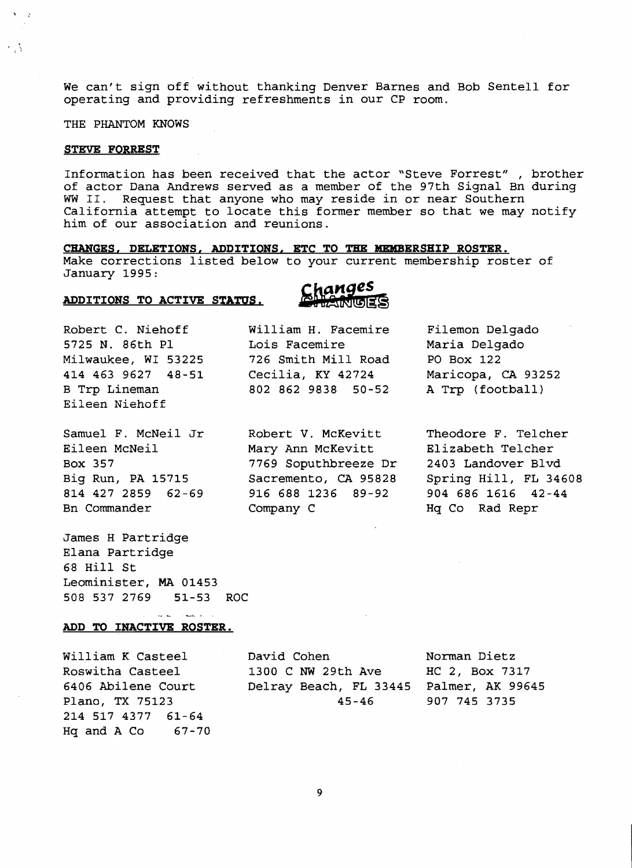We can't sign off without thanking Denver Barnes and Bob Sentell for operating and providing refreshments in our CP room.

THE PHANTOM KNOWS

#### **STEVE FORREST**

 $\sqrt{3}$ 

÷.N

Information has been received that the actor "Steve Forrest" , brother of actor Dana Andrews served as a member of the 97th Signal Bn during WW II. Request that anyone who may reside in or near Southern California attempt to locate this former member so that we may notify him of our association and reunions.

**CHANGES, DELETIONS, ADDITIQNS, ETC TO THE MEMBERSHIP ROSTER.**  Make corrections listed below to your current membership roster of January 1995:

#### ADDITIONS TO ACTIVE STATUS.



Robert C. Niehoff William H. Facemire Filemon Delgado 5725 N. 86th PI Lois Facemire Maria Delgado Milwaukee, WI 53225 726 Smith Mill Road PO Box 122 414 463 9627 48-51 Cecilia, KY 42724 Maricopa, CA 93252 B Trp Lineman 802 862 9838 50-52 A Trp (football) Eileen Niehoff

Bn Commander Company C Company C Hq Co Rad Repr

James H Partridge Elana Partridge 68 Hill St Leominister, MA 01453 508 537 2769 51-53 ROC

Samuel F. McNeil Jr Robert V. McKevitt Theodore F. Telcher Eileen McNeil Mary Ann McKevitt Elizabeth TeIcher Box 357 7769 Soputhbreeze Dr 2403 Landover Blvd 814 427 2859 62-69 916 688 1236 89-92 904 686 1616 42-44

Big Run, PA 15715 Sacremento, CA 95828 Spring Hill, FL 34608

### **ADD TO INACTIVE ROSTER.**

 $\Delta \omega = 0.1$ 

المستحدث

214 517 4377 61-64 Hq and A Co  $67-70$ 

William K Casteel David Cohen Norman Dietz Roswitha Casteel 1300 C NW 29th Ave HC 2, Box 7317 6406 Abilene Court Delray Beach, FL 33445 Palmer, AK 99645 Plano, TX 75123 45-46 907 745 3735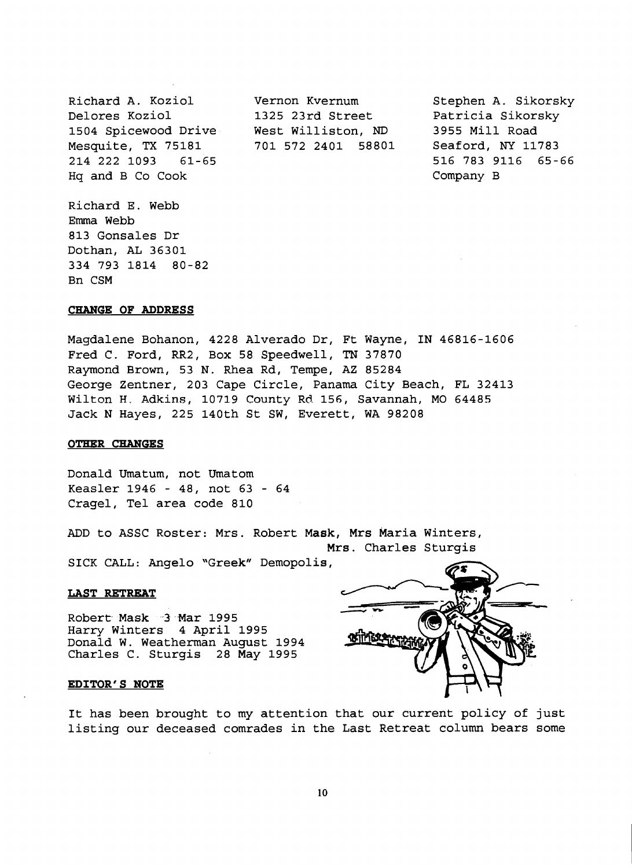Richard A. Koziol Vernon Kvernum Stephen A. Sikorsky Delores Koziol 1325 23rd Street Patricia Sikorsky 1504 Spicewood Drive West Williston, ND 3955 Mill Road Mesquite, TX 75181 701 572 2401 58801 Seaford, NY 11783 214 222 1093 61-65 516 783 9116 65-66 Hq and B Co Cook Company B

Richard E. Webb Emma Webb 813 Gonsales Dr Dothan, AL 36301 334 793 1814 80-82 Bn CSM

#### **CHANGE OF ADDRESS**

Magdalene Bohanon, 4228 Alverado Dr, Ft Wayne, IN 46816-1606 Fred C. Ford, RR2, Box 58 Speedwell, TN 37870 Raymond Brown, 53 N. Rhea Rd, Tempe, AZ 85284 George Zentner, 203 Cape Circle, Panama City Beach, FL 32413 Wilton H. Adkins, 10719 County Rd 156, Savannah, MO 64485 Jack N Hayes, 225 140th St SW, Everett, WA 98208

#### **OTHER CHANGES**

Donald Umatum, not Umatom Keasler 1946 - 48, not 63 - 64 Cragel, Tel area code 810

ADD to ASSC Roster: Mrs. Robert Mask, Mrs Maria Winters, Mrs. Charles Sturgis

SICK CALL: Angelo "Greek" Demopolis,

#### **LAST RETREAT**

Robert-Mask-3 Mar 1995 Harry Winters 4 April 1995 Donald W. Weatherman August 1994 Charles C. Sturgis 28 May 1995

#### **EDITOR'S NOTE**

It has been brought to my attention that our current policy of just listing our deceased comrades in the Last Retreat column bears some

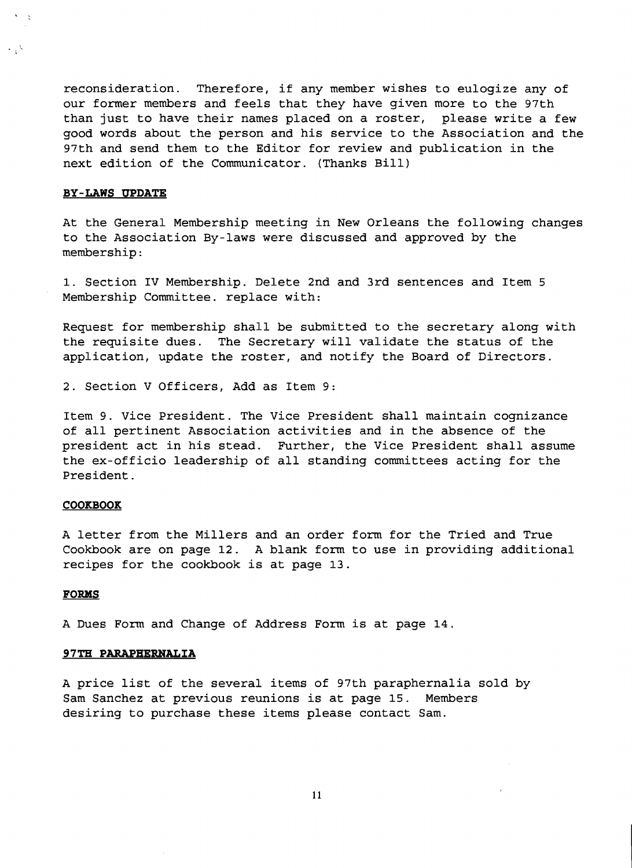reconsideration. Therefore, if any member wishes to eulogize any of our former members and feels that they have given more to the 97th than just to have their names placed on a roster, please write a few good words about the person and his service to the Association and the 97th and send them to the Editor for review and publication in the next edition of the Communicator. (Thanks Bill)

#### **BY-LAWS UPDATE**

At the General Membership meeting in New Orleans the following changes to the Association By-laws were discussed and approved by the membership:

1. Section IV Membership. Delete 2nd and 3rd sentences and Item 5 Membership Committee. replace with:

Request for membership shall be submitted to the secretary along with the requisite dues. The Secretary will validate the status of the application, update the roster, and notify the Board of Directors.

2. Section V Officers, Add as Item 9:

Item 9. Vice President. The Vice President shall maintain cognizance of all pertinent Association activities and in the absence of the president act in his stead. Further, the Vice President shall assume the ex-officio leadership of all standing committees acting for the President.

#### **COOKBOOK**

A letter from the Millers and an order form for the Tried and True Cookbook are on page 12. A blank form to use in providing additional recipes for the cookbook is at page 13.

#### **FORMS**

A Dues Form and Change of Address Form is at page 14.

#### **97TH PARAPHERNALIA**

A price list of the several items of 97th paraphernalia sold by Sam Sanchez at previous reunions is at page 15. Members desiring to purchase these items please contact Sam.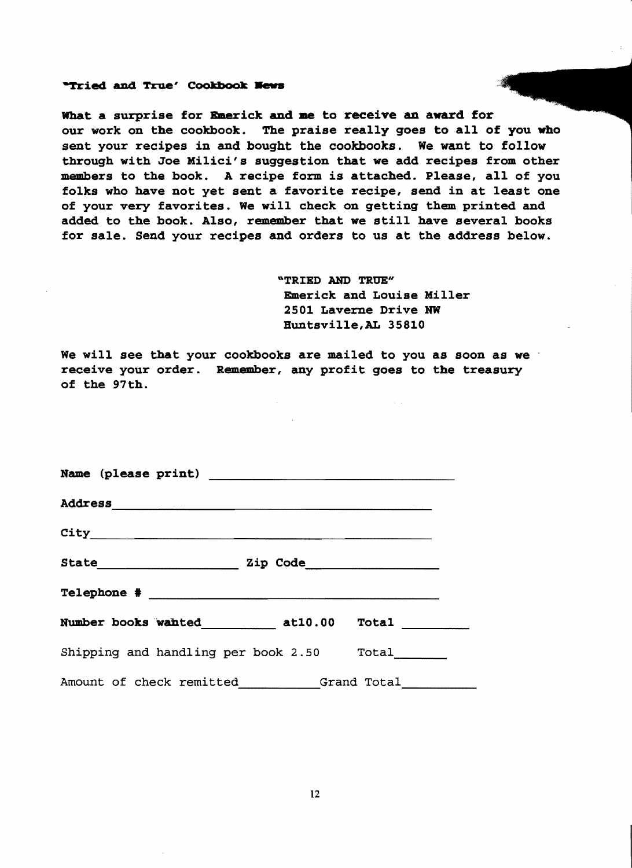#### "Tried and True' Cookbook News

What a surprise for Emerick and me to receive an award for our work on the cookbook. The praise really goes to all of you who sent your recipes in and bought the cookbooks. We want to follow through with Joe Hilici's suggestion that we add recipes from other members to the book. A recipe form is attached. Please, all of you folks who have not yet sent a favorite recipe, send in at least one of your very favorites. We will check on getting them printed and added to the book. Also, remember that we still have several books for sale. Send your recipes and orders to us at the address below.

> "TRIED AND TRUE" Emerick and Louise Hiller 2501 Laverne Drive NW Buntsville,AL 35810

We will see that your cookbooks are mailed to you as soon as we receive your order. Remember, any profit goes to the treasury of the 97th.

| Shipping and handling per book 2.50 Total |  |
|-------------------------------------------|--|
| Amount of check remitted Grand Total      |  |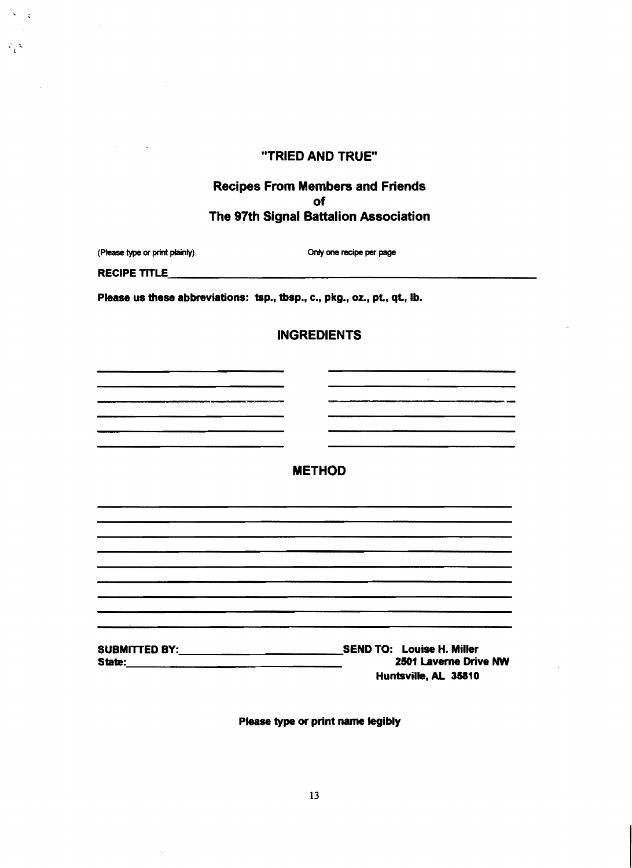# "TRIED AND TRUE"

# Recipes From Members and Friends of The 97th Signal Battalion Association

(Please type or print plainly) Only one recipe per page

RECIPE TITLE

 $\frac{1}{2}$ 

 $\mathcal{L}/2$ 

Please us these abbreviations: tsp., tbsp., c., pkg., oz., pt., qt., lb.

.<br>In the contract of the contract of the contract of the contract of the contract of the contract of the contract

# **INGREDIENTS**

METHOD

SUBMITTED BY:<br>SEND TO: Louise H. Miller<br>State: 2501 Laverne Driv **State: 2501 Laverne Drive NW** Huntsville, AL 35810

Please type or print name legibly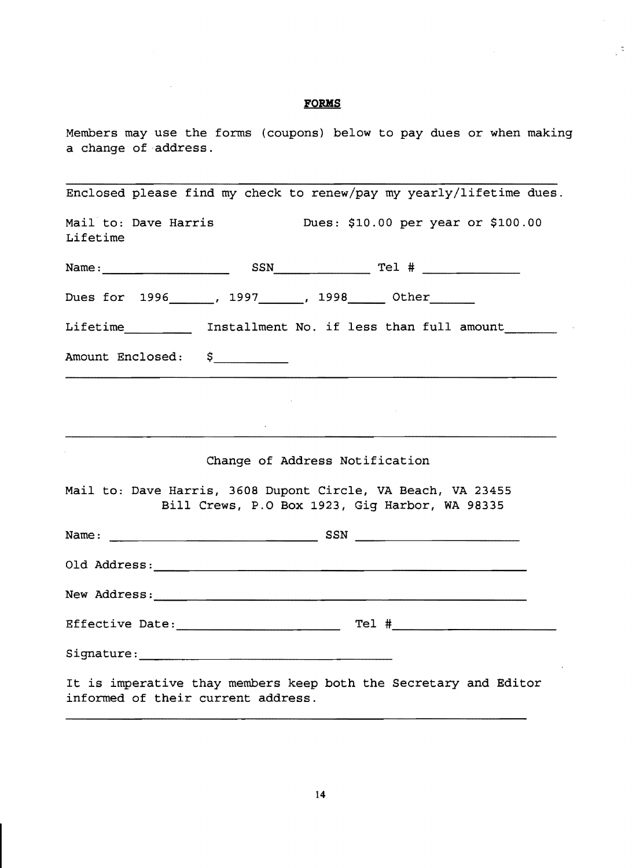# **FORMS**

 $\mathcal{L}^{\text{max}}_{\text{max}}$  , where  $\mathcal{L}^{\text{max}}_{\text{max}}$ 

 $\sqrt{2}$ 

Members may use the forms (coupons) below to pay dues or when making a change of address.

| Enclosed please find my check to renew/pay my yearly/lifetime dues.                                            |
|----------------------------------------------------------------------------------------------------------------|
| Mail to: Dave Harris<br>Dues: \$10.00 per year or \$100.00<br>Lifetime                                         |
|                                                                                                                |
| Dues for 1996 _____, 1997 _____, 1998 _____ Other ______                                                       |
| Lifetime _________ Installment No. if less than full amount _______                                            |
| Amount Enclosed: \$                                                                                            |
|                                                                                                                |
|                                                                                                                |
| Change of Address Notification                                                                                 |
| Mail to: Dave Harris, 3608 Dupont Circle, VA Beach, VA 23455<br>Bill Crews, P.O Box 1923, Gig Harbor, WA 98335 |
|                                                                                                                |
|                                                                                                                |
|                                                                                                                |
|                                                                                                                |
|                                                                                                                |
| It is imperative thay members keep both the Secretary and Editor<br>informed of their current address.         |